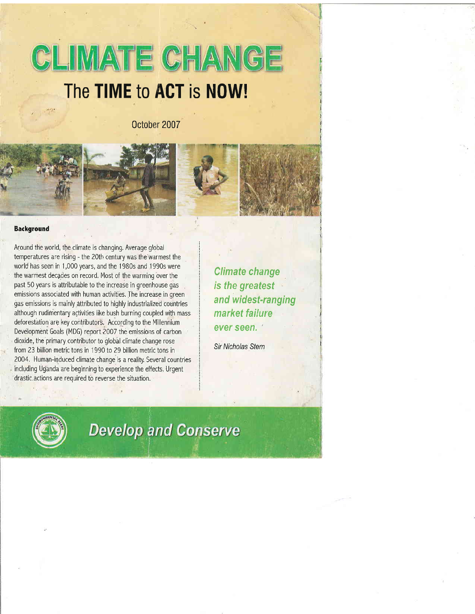# **CLIMATE CHANGE** The TIME to ACT is NOW!

0ctober 2007







#### **Background**

Around the world, the climate is changing. Average global temperatures are rising - the 20th century was the:warmest the world has seen in 1,000 years, and the 1980s and 1990s were the warmest decades on record, Most of the warming over the past 50 years is attributable to the increase in greenhouse gas emissions associated with human activities. The increase in green gas emissions is mainly attributed to highly industrialized countries although rudimentary activities like bush burning coupled with mass deforestation are key contributors. According to the Millennium Development Goals (MDG) report 2007 the emissions of carbon dioxide, the primary contributor to global climate change rose from 23 billion metric tons in 1990 to 29 billion metric tons in 2004. Human-induced climate change is a reality. Several countries including Uganda are beginning to experience the effects. Urgent drastic.actions are required to reverse the situation.

Climate change is the greatest and widest-ranging market failure ever seen.

Sir Nicholas Stern



# **Develop and Conserve**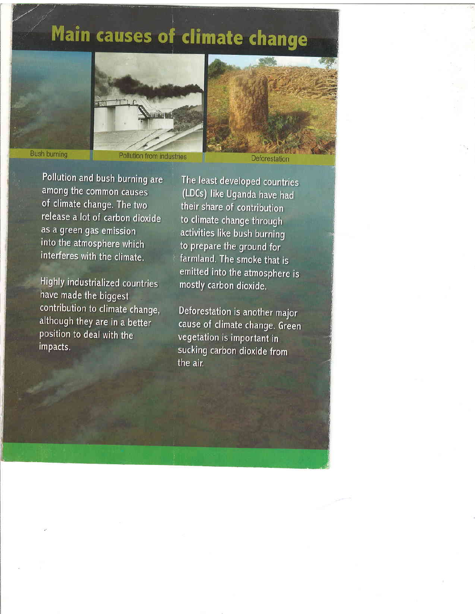# Main causes of climate change





## **Bush burning**

Pollution from industries

Deforestation

Pollution and bush burning are among the common causes of climate change. The two release a lot of carbon dioxide as a green gas emission into the atmosphere which interferes with the climate.

Highly industrialized countries have made the biggest contribution to climate change, although they are in a better position to deal with the impacts.

The least developed countries (LDCs) like Uganda have had their share of contribution to climate change through activities like bush burning to prepare the ground for farmland. The smoke that is emitted into the atmosphere is mostly carbon dioxide.

Deforestation is another major cause of climate change. Green vegetation is important in sucking carbon dioxide from the air.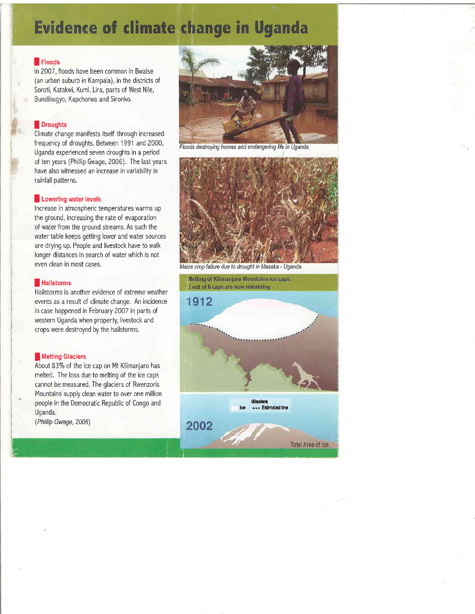## **Evidence of climate change in Uganda**

### **I** Floods

ln 2007 , floods have been common in Bwaise (an urban suburb in Kampala), in the districts of Soroti, Katakwi, Kumi, Lira, parts of West Nile, Bundibugyo, Kapchorwa and Sironko.

## **I** Droughts

r

Climate change manifests itself through increased frequency of droughts. Between 1991 and 2000, Uganda experienced seven droughts in a period of ten years (Phillip Gwage, 2006), The last years have also witnessed an increase in variability in rainfall patterns,

#### **I Lowering water levels**

Increase in atmospheric temperatures warms up the ground, increasing the rate of evaporation of water from the ground streams, As such the water table keeps getting lower and water sources are drying up. People and livestock have to walk longer distances in search of water which is not even clean in most cases,

#### **Hailstorms**

Hailstorms is another evidence of extreme weather events as a result of climate change, An incidence in case happened in February 2007 in parts of western Uganda when property, livestock and crops were destroyed by the hailstorms,

#### **I** Melting Glaciers

About 83% of the ice cap on Mt Kilimanjaro has melted, The loss due to melting of the ice caps cannot be measured, The glaciers of Rwenzoris Mountains supply clean water to over one million people in the Democratic Republic of Congo and Uganda,

(Phillip Gwage, 2006)



Floods destroying homes and endangering life in Uganda.



Maize crop failure due to drought in Masaka - Uganda.

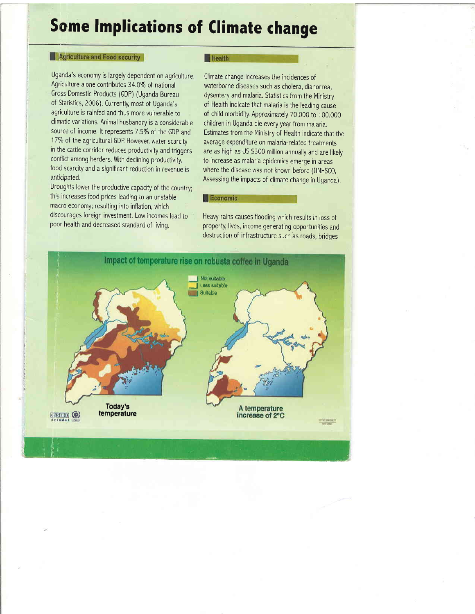# Some lmplications of Climate change

## Agriculture and Food security

Uganda's economy is largely dependent on agriculture. Agriculture alone contributes 34,0% of national Grcss Domestic Products (GDP) (Uganda Bureau of Statistics, 2006). Currently, most of Uganda's agriculture is rainfed and thus more vulnerable to climatic variations. Animal husbandry is a considerable source of income. It represents 7.5% of the GDP and 17% of the agricultural GDP. However, water scarcity in the cattle corridor reduces productivity and triggers conflict among herders. With declining productivity, food scarcity and a significant reduction in revenue is anticipated,

Droughts lower the productive capacity of the country; this increases food prices leading to an unstable macro economy; resulting into inflation, which discourages foreign investment, Low incomes lead to poor health and decreased standard of livinq.

#### **Health**

Climate change increases the incidences of waterborne diseases such as cholera, diahorrea, dysentery and malaria. Statistics from the Ministry of Health indicate that malaria is the leading cause of child morbidity, Approximately 70,000 to I00,000 children in Uganda die every year from malaria. Estimates from the Ministry of Heaith indicate that the average expenditure on malaria-related treatments are as high as US \$300 million annually and are likely to increase as malaria epidemics emerge in areas where the disease was not known before (UNESCO, Assessing the impacts of climate change in Uganda).

#### Economic

Heavy rains causes flooding which results in loss of property, lives, income generating opportunities and destruction of infrastructure such as roads, bridqes

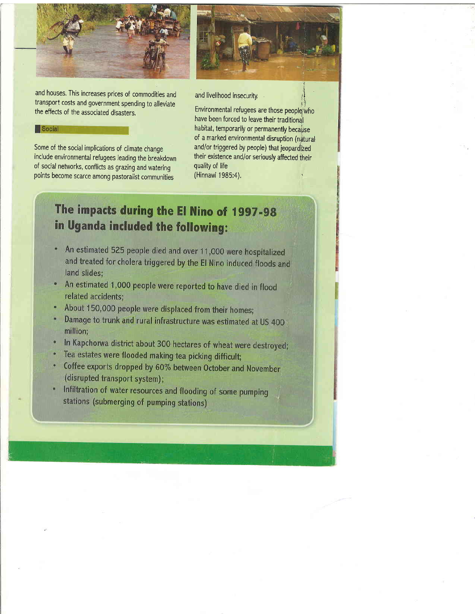

and houses. This increases prices of commodities and transport costs and government spending to alleviate the effects of the associated disasters.

#### Social

Some of the social implications of climate change include environmental refugees leading the breakdown of social networks, conflicts as grazing and watering points become scarce among pastoralist communities

I

and livelihood insecurity.

Environmental refugees are those peoplgwho have been forced to leave their traditional habitat, temporarily or permanently because of a marked environmental disruption (natural and/or triggered by people) that jeopardized their existence and/or seriously affected their quality of life (Hinnawi 1985:4).

The impacts during the El Nino of 1997-98 in Uganda included the following:

- An estimated 525 people died and over 11,000 were hospitalized and treated for cholera triggered by the El Nino induced floods and land slides:
- An estimated 1,000 people were reported to have died in flood related accidents:
- About 150,000 people were displaced from their homes;
- Damage to trunk and rural infrastructure was estimated at US 400 million;
- In Kapchorwa district about 300 hectares of wheat were destroyed;
- Tea estates were flooded making tea picking difficult;
- Coffee exports dropped by 60% between October and November (disrupted transport system);
- \* Infiltration of water resources and flooding of some pumping stations (submerging of pumping stations)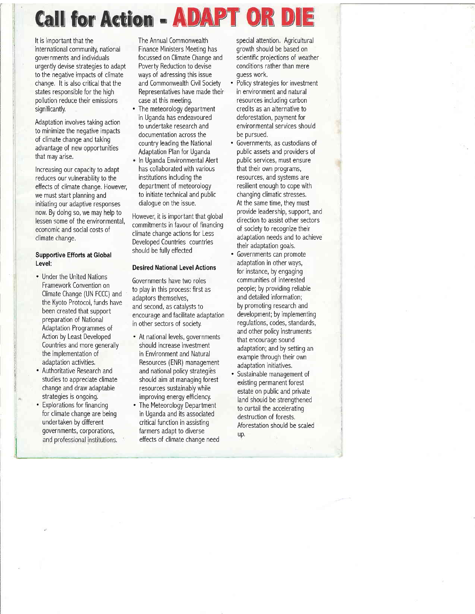# Call for Action - ADAPT OR

It is important that the international community, national gover nments and individuals urgently devise strategies to adapt to the negative impacts of climate change. It is also critical that the states responsible for the high pollution reduce their emissions significantly.

Adaptation involveg taking action to minimize the negative impacts of climate change and taking advantage of new opportunities that may arise,

Increasing our capacity to adapt reduces our vulnerability to the effects of climate change. However, we must start planning and initiating our adaptive responses now, By doing so, we may help to lessen some of the environmental, economic and social costs of climate change.

### Supportive Efforts at Global Level:

- . Under the United Nations Framework Convention on Climate Change (UN FCCC) and the Kyoto Protocol, funds have been created that support preparation of National Adaptation Programmes of Action by Least Developed Countries and more generally the implementation of adaptation activities,
- . Authoritative Research and studies to appreciate climate change and draw adaptable strategies is ongoing,
- . Explorations for financing for climate change are being undertaken by different governments, corporations, and professional institutions.

The Annual Commonwealth Finance Ministers Meeting has focussed on Climate Change and Poverty Reduction to devise ways of adressing this issue and Commonwealth Civil Society Representatives have made their case at this meeting,

- The meteorology department in Uganda has endeavoured to undertake research and documentation across the country leading the National Adaptation Plan for Uganda
- In Uganda Environmental Alert has collaborated with various institutions including the department of meteorology to initiate technical and public dialogue on the issue.

However, it is important that global commitments in favour of financing climate change actions for Less Developed Countries countries should be fully effected

#### Desired National Level Actions

Governments have two roles to play in this process: first as adaptors themselves, and second, as catalysts to enc0urage and facilitate adaptation in other sectors of society.

- . At national levels, governments should increase investment in Environment and Natural Resources (ENR) management and national policy strategies should aim at managing forest resources sustainably while improving energy efficiency.
- . The Meteorology Department in Uganda and its associated critical function in assisting farmers adapt to diverse effects of climate change need

special attention, Agricultural growth should be based on scientific projections of weather conditions rather than mere quess work,

- Policy strategies for investment in environment and natura resources including carbon credits as an alternative to deforestation, payment for environmental services should be pursued.
- . Governments, as custodians of public assets and providers of public services, must ensure that their own programs, resources, and systems are resilient enough to cope with changing climatic stresses At the same time, they must provide leadership, support, and direction to assist other sectors of society to recognize their adaptation needs and to achieve their adaptation goals,
- . Governments can promote adaptation in other ways, for instance, by engaging communities of interested people; by providing reliable and detailed information; by promoting research and development; by implementing regulations, codes, standards, and other policy instruments that encourage sound adaptation; and by setting an example through their own adaptation initiatives.
- . Sustainable management of existing permanent forest estate on public and private land should be strengthened to curtail the accelerating destruction of forests, Aforestation should be scaled up.